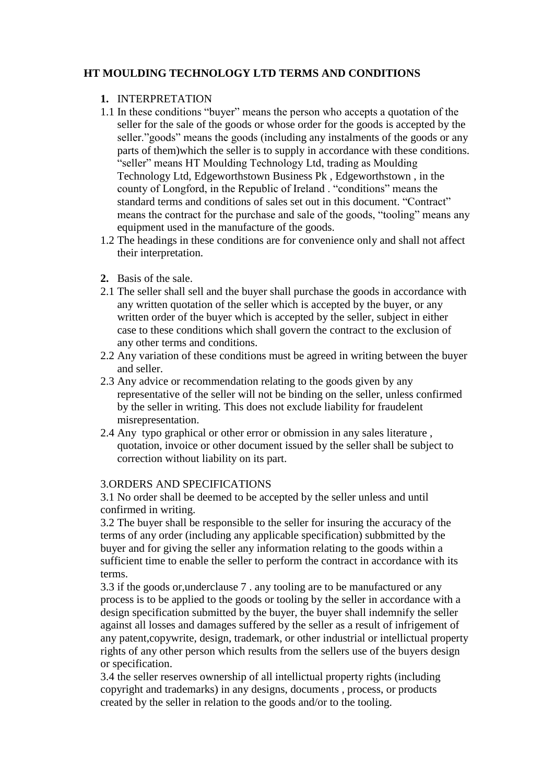# **HT MOULDING TECHNOLOGY LTD TERMS AND CONDITIONS**

# **1.** INTERPRETATION

- 1.1 In these conditions "buyer" means the person who accepts a quotation of the seller for the sale of the goods or whose order for the goods is accepted by the seller."goods" means the goods (including any instalments of the goods or any parts of them)which the seller is to supply in accordance with these conditions. "seller" means HT Moulding Technology Ltd, trading as Moulding Technology Ltd, Edgeworthstown Business Pk , Edgeworthstown , in the county of Longford, in the Republic of Ireland . "conditions" means the standard terms and conditions of sales set out in this document. "Contract" means the contract for the purchase and sale of the goods, "tooling" means any equipment used in the manufacture of the goods.
- 1.2 The headings in these conditions are for convenience only and shall not affect their interpretation.
- **2.** Basis of the sale.
- 2.1 The seller shall sell and the buyer shall purchase the goods in accordance with any written quotation of the seller which is accepted by the buyer, or any written order of the buyer which is accepted by the seller, subject in either case to these conditions which shall govern the contract to the exclusion of any other terms and conditions.
- 2.2 Any variation of these conditions must be agreed in writing between the buyer and seller.
- 2.3 Any advice or recommendation relating to the goods given by any representative of the seller will not be binding on the seller, unless confirmed by the seller in writing. This does not exclude liability for fraudelent misrepresentation.
- 2.4 Any typo graphical or other error or obmission in any sales literature , quotation, invoice or other document issued by the seller shall be subject to correction without liability on its part.

# 3.ORDERS AND SPECIFICATIONS

3.1 No order shall be deemed to be accepted by the seller unless and until confirmed in writing.

3.2 The buyer shall be responsible to the seller for insuring the accuracy of the terms of any order (including any applicable specification) subbmitted by the buyer and for giving the seller any information relating to the goods within a sufficient time to enable the seller to perform the contract in accordance with its terms.

3.3 if the goods or,underclause 7 . any tooling are to be manufactured or any process is to be applied to the goods or tooling by the seller in accordance with a design specification submitted by the buyer, the buyer shall indemnify the seller against all losses and damages suffered by the seller as a result of infrigement of any patent,copywrite, design, trademark, or other industrial or intellictual property rights of any other person which results from the sellers use of the buyers design or specification.

3.4 the seller reserves ownership of all intellictual property rights (including copyright and trademarks) in any designs, documents , process, or products created by the seller in relation to the goods and/or to the tooling.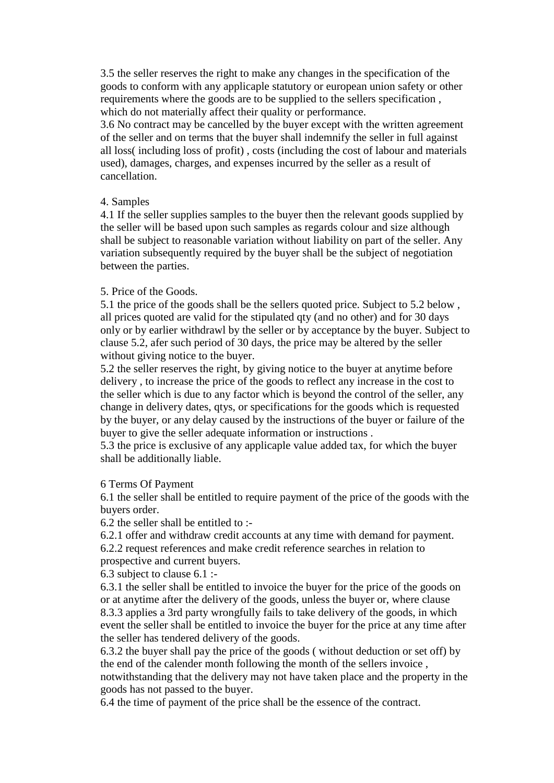3.5 the seller reserves the right to make any changes in the specification of the goods to conform with any applicaple statutory or european union safety or other requirements where the goods are to be supplied to the sellers specification , which do not materially affect their quality or performance.

3.6 No contract may be cancelled by the buyer except with the written agreement of the seller and on terms that the buyer shall indemnify the seller in full against all loss( including loss of profit) , costs (including the cost of labour and materials used), damages, charges, and expenses incurred by the seller as a result of cancellation.

### 4. Samples

4.1 If the seller supplies samples to the buyer then the relevant goods supplied by the seller will be based upon such samples as regards colour and size although shall be subject to reasonable variation without liability on part of the seller. Any variation subsequently required by the buyer shall be the subject of negotiation between the parties.

## 5. Price of the Goods.

5.1 the price of the goods shall be the sellers quoted price. Subject to 5.2 below , all prices quoted are valid for the stipulated qty (and no other) and for 30 days only or by earlier withdrawl by the seller or by acceptance by the buyer. Subject to clause 5.2, afer such period of 30 days, the price may be altered by the seller without giving notice to the buyer.

5.2 the seller reserves the right, by giving notice to the buyer at anytime before delivery , to increase the price of the goods to reflect any increase in the cost to the seller which is due to any factor which is beyond the control of the seller, any change in delivery dates, qtys, or specifications for the goods which is requested by the buyer, or any delay caused by the instructions of the buyer or failure of the buyer to give the seller adequate information or instructions .

5.3 the price is exclusive of any applicaple value added tax, for which the buyer shall be additionally liable.

#### 6 Terms Of Payment

6.1 the seller shall be entitled to require payment of the price of the goods with the buyers order.

6.2 the seller shall be entitled to :-

6.2.1 offer and withdraw credit accounts at any time with demand for payment. 6.2.2 request references and make credit reference searches in relation to prospective and current buyers.

6.3 subject to clause 6.1 :-

6.3.1 the seller shall be entitled to invoice the buyer for the price of the goods on or at anytime after the delivery of the goods, unless the buyer or, where clause 8.3.3 applies a 3rd party wrongfully fails to take delivery of the goods, in which event the seller shall be entitled to invoice the buyer for the price at any time after the seller has tendered delivery of the goods.

6.3.2 the buyer shall pay the price of the goods ( without deduction or set off) by the end of the calender month following the month of the sellers invoice ,

notwithstanding that the delivery may not have taken place and the property in the goods has not passed to the buyer.

6.4 the time of payment of the price shall be the essence of the contract.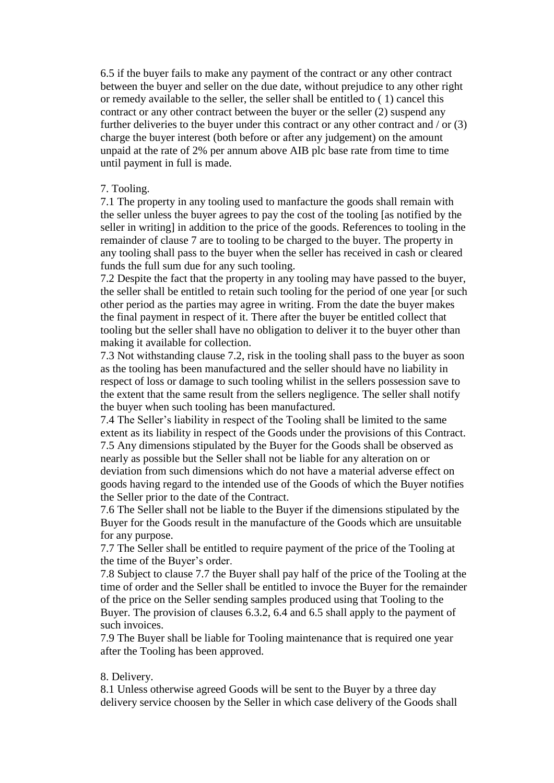6.5 if the buyer fails to make any payment of the contract or any other contract between the buyer and seller on the due date, without prejudice to any other right or remedy available to the seller, the seller shall be entitled to ( 1) cancel this contract or any other contract between the buyer or the seller (2) suspend any further deliveries to the buyer under this contract or any other contract and / or (3) charge the buyer interest (both before or after any judgement) on the amount unpaid at the rate of 2% per annum above AIB plc base rate from time to time until payment in full is made.

### 7. Tooling.

7.1 The property in any tooling used to manfacture the goods shall remain with the seller unless the buyer agrees to pay the cost of the tooling [as notified by the seller in writing] in addition to the price of the goods. References to tooling in the remainder of clause 7 are to tooling to be charged to the buyer. The property in any tooling shall pass to the buyer when the seller has received in cash or cleared funds the full sum due for any such tooling.

7.2 Despite the fact that the property in any tooling may have passed to the buyer, the seller shall be entitled to retain such tooling for the period of one year [or such other period as the parties may agree in writing. From the date the buyer makes the final payment in respect of it. There after the buyer be entitled collect that tooling but the seller shall have no obligation to deliver it to the buyer other than making it available for collection.

7.3 Not withstanding clause 7.2, risk in the tooling shall pass to the buyer as soon as the tooling has been manufactured and the seller should have no liability in respect of loss or damage to such tooling whilist in the sellers possession save to the extent that the same result from the sellers negligence. The seller shall notify the buyer when such tooling has been manufactured.

7.4 The Seller's liability in respect of the Tooling shall be limited to the same extent as its liability in respect of the Goods under the provisions of this Contract. 7.5 Any dimensions stipulated by the Buyer for the Goods shall be observed as nearly as possible but the Seller shall not be liable for any alteration on or deviation from such dimensions which do not have a material adverse effect on goods having regard to the intended use of the Goods of which the Buyer notifies the Seller prior to the date of the Contract.

7.6 The Seller shall not be liable to the Buyer if the dimensions stipulated by the Buyer for the Goods result in the manufacture of the Goods which are unsuitable for any purpose.

7.7 The Seller shall be entitled to require payment of the price of the Tooling at the time of the Buyer's order.

7.8 Subject to clause 7.7 the Buyer shall pay half of the price of the Tooling at the time of order and the Seller shall be entitled to invoce the Buyer for the remainder of the price on the Seller sending samples produced using that Tooling to the Buyer. The provision of clauses 6.3.2, 6.4 and 6.5 shall apply to the payment of such invoices.

7.9 The Buyer shall be liable for Tooling maintenance that is required one year after the Tooling has been approved.

## 8. Delivery.

8.1 Unless otherwise agreed Goods will be sent to the Buyer by a three day delivery service choosen by the Seller in which case delivery of the Goods shall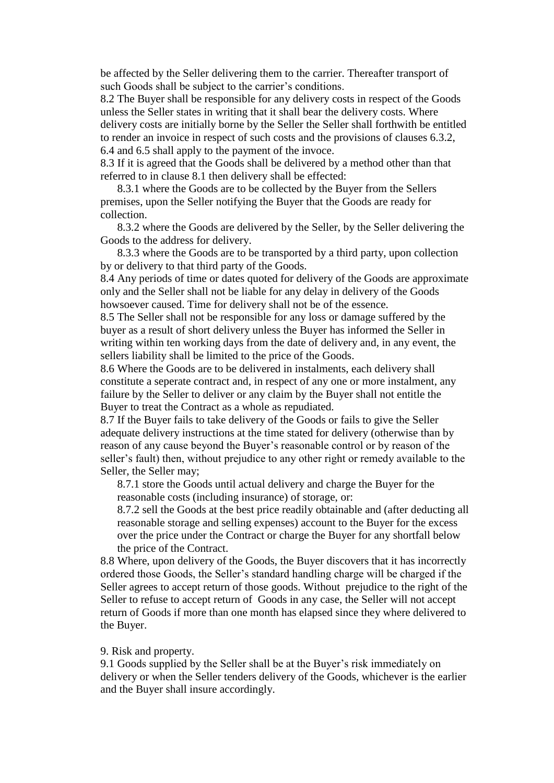be affected by the Seller delivering them to the carrier. Thereafter transport of such Goods shall be subject to the carrier's conditions.

8.2 The Buyer shall be responsible for any delivery costs in respect of the Goods unless the Seller states in writing that it shall bear the delivery costs. Where delivery costs are initially borne by the Seller the Seller shall forthwith be entitled to render an invoice in respect of such costs and the provisions of clauses 6.3.2, 6.4 and 6.5 shall apply to the payment of the invoce.

8.3 If it is agreed that the Goods shall be delivered by a method other than that referred to in clause 8.1 then delivery shall be effected:

8.3.1 where the Goods are to be collected by the Buyer from the Sellers premises, upon the Seller notifying the Buyer that the Goods are ready for collection.

8.3.2 where the Goods are delivered by the Seller, by the Seller delivering the Goods to the address for delivery.

8.3.3 where the Goods are to be transported by a third party, upon collection by or delivery to that third party of the Goods.

8.4 Any periods of time or dates quoted for delivery of the Goods are approximate only and the Seller shall not be liable for any delay in delivery of the Goods howsoever caused. Time for delivery shall not be of the essence.

8.5 The Seller shall not be responsible for any loss or damage suffered by the buyer as a result of short delivery unless the Buyer has informed the Seller in writing within ten working days from the date of delivery and, in any event, the sellers liability shall be limited to the price of the Goods.

8.6 Where the Goods are to be delivered in instalments, each delivery shall constitute a seperate contract and, in respect of any one or more instalment, any failure by the Seller to deliver or any claim by the Buyer shall not entitle the Buyer to treat the Contract as a whole as repudiated.

8.7 If the Buyer fails to take delivery of the Goods or fails to give the Seller adequate delivery instructions at the time stated for delivery (otherwise than by reason of any cause beyond the Buyer's reasonable control or by reason of the seller's fault) then, without prejudice to any other right or remedy available to the Seller, the Seller may;

8.7.1 store the Goods until actual delivery and charge the Buyer for the reasonable costs (including insurance) of storage, or:

8.7.2 sell the Goods at the best price readily obtainable and (after deducting all reasonable storage and selling expenses) account to the Buyer for the excess over the price under the Contract or charge the Buyer for any shortfall below the price of the Contract.

8.8 Where, upon delivery of the Goods, the Buyer discovers that it has incorrectly ordered those Goods, the Seller's standard handling charge will be charged if the Seller agrees to accept return of those goods. Without prejudice to the right of the Seller to refuse to accept return of Goods in any case, the Seller will not accept return of Goods if more than one month has elapsed since they where delivered to the Buyer.

#### 9. Risk and property.

9.1 Goods supplied by the Seller shall be at the Buyer's risk immediately on delivery or when the Seller tenders delivery of the Goods, whichever is the earlier and the Buyer shall insure accordingly.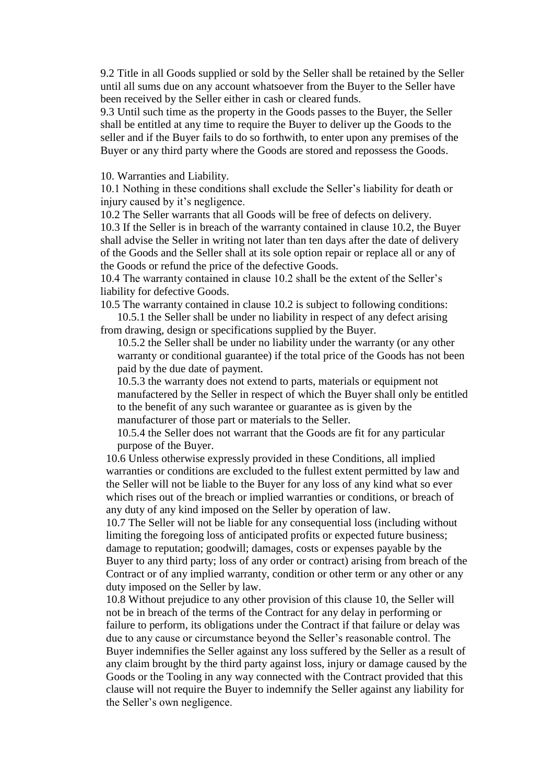9.2 Title in all Goods supplied or sold by the Seller shall be retained by the Seller until all sums due on any account whatsoever from the Buyer to the Seller have been received by the Seller either in cash or cleared funds.

9.3 Until such time as the property in the Goods passes to the Buyer, the Seller shall be entitled at any time to require the Buyer to deliver up the Goods to the seller and if the Buyer fails to do so forthwith, to enter upon any premises of the Buyer or any third party where the Goods are stored and repossess the Goods.

10. Warranties and Liability.

10.1 Nothing in these conditions shall exclude the Seller's liability for death or injury caused by it's negligence.

10.2 The Seller warrants that all Goods will be free of defects on delivery.

10.3 If the Seller is in breach of the warranty contained in clause 10.2, the Buyer shall advise the Seller in writing not later than ten days after the date of delivery of the Goods and the Seller shall at its sole option repair or replace all or any of the Goods or refund the price of the defective Goods.

10.4 The warranty contained in clause 10.2 shall be the extent of the Seller's liability for defective Goods.

10.5 The warranty contained in clause 10.2 is subject to following conditions: 10.5.1 the Seller shall be under no liability in respect of any defect arising

from drawing, design or specifications supplied by the Buyer.

10.5.2 the Seller shall be under no liability under the warranty (or any other warranty or conditional guarantee) if the total price of the Goods has not been paid by the due date of payment.

10.5.3 the warranty does not extend to parts, materials or equipment not manufactered by the Seller in respect of which the Buyer shall only be entitled to the benefit of any such warantee or guarantee as is given by the manufacturer of those part or materials to the Seller.

10.5.4 the Seller does not warrant that the Goods are fit for any particular purpose of the Buyer.

10.6 Unless otherwise expressly provided in these Conditions, all implied warranties or conditions are excluded to the fullest extent permitted by law and the Seller will not be liable to the Buyer for any loss of any kind what so ever which rises out of the breach or implied warranties or conditions, or breach of any duty of any kind imposed on the Seller by operation of law.

10.7 The Seller will not be liable for any consequential loss (including without limiting the foregoing loss of anticipated profits or expected future business; damage to reputation; goodwill; damages, costs or expenses payable by the Buyer to any third party; loss of any order or contract) arising from breach of the Contract or of any implied warranty, condition or other term or any other or any duty imposed on the Seller by law.

10.8 Without prejudice to any other provision of this clause 10, the Seller will not be in breach of the terms of the Contract for any delay in performing or failure to perform, its obligations under the Contract if that failure or delay was due to any cause or circumstance beyond the Seller's reasonable control. The Buyer indemnifies the Seller against any loss suffered by the Seller as a result of any claim brought by the third party against loss, injury or damage caused by the Goods or the Tooling in any way connected with the Contract provided that this clause will not require the Buyer to indemnify the Seller against any liability for the Seller's own negligence.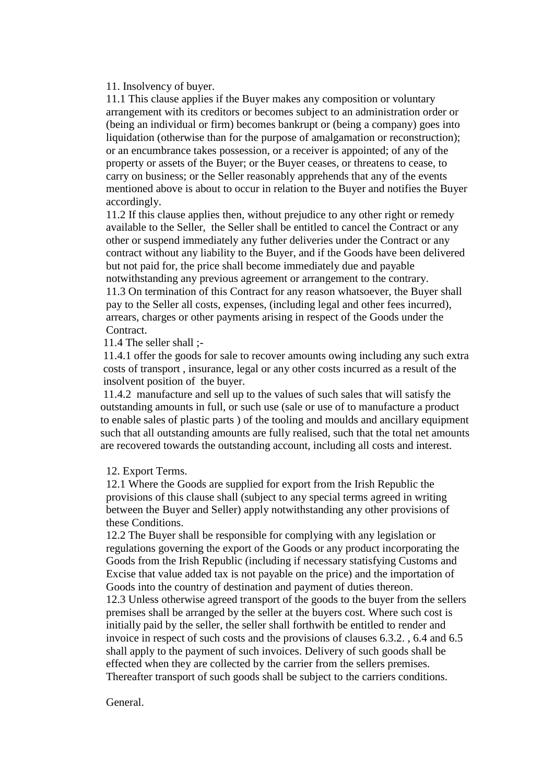11. Insolvency of buyer.

11.1 This clause applies if the Buyer makes any composition or voluntary arrangement with its creditors or becomes subject to an administration order or (being an individual or firm) becomes bankrupt or (being a company) goes into liquidation (otherwise than for the purpose of amalgamation or reconstruction); or an encumbrance takes possession, or a receiver is appointed; of any of the property or assets of the Buyer; or the Buyer ceases, or threatens to cease, to carry on business; or the Seller reasonably apprehends that any of the events mentioned above is about to occur in relation to the Buyer and notifies the Buyer accordingly.

11.2 If this clause applies then, without prejudice to any other right or remedy available to the Seller, the Seller shall be entitled to cancel the Contract or any other or suspend immediately any futher deliveries under the Contract or any contract without any liability to the Buyer, and if the Goods have been delivered but not paid for, the price shall become immediately due and payable notwithstanding any previous agreement or arrangement to the contrary. 11.3 On termination of this Contract for any reason whatsoever, the Buyer shall

pay to the Seller all costs, expenses, (including legal and other fees incurred), arrears, charges or other payments arising in respect of the Goods under the Contract.

11.4 The seller shall ;-

11.4.1 offer the goods for sale to recover amounts owing including any such extra costs of transport , insurance, legal or any other costs incurred as a result of the insolvent position of the buyer.

11.4.2 manufacture and sell up to the values of such sales that will satisfy the outstanding amounts in full, or such use (sale or use of to manufacture a product to enable sales of plastic parts ) of the tooling and moulds and ancillary equipment such that all outstanding amounts are fully realised, such that the total net amounts are recovered towards the outstanding account, including all costs and interest.

#### 12. Export Terms.

12.1 Where the Goods are supplied for export from the Irish Republic the provisions of this clause shall (subject to any special terms agreed in writing between the Buyer and Seller) apply notwithstanding any other provisions of these Conditions.

12.2 The Buyer shall be responsible for complying with any legislation or regulations governing the export of the Goods or any product incorporating the Goods from the Irish Republic (including if necessary statisfying Customs and Excise that value added tax is not payable on the price) and the importation of Goods into the country of destination and payment of duties thereon.

12.3 Unless otherwise agreed transport of the goods to the buyer from the sellers premises shall be arranged by the seller at the buyers cost. Where such cost is initially paid by the seller, the seller shall forthwith be entitled to render and invoice in respect of such costs and the provisions of clauses 6.3.2. , 6.4 and 6.5 shall apply to the payment of such invoices. Delivery of such goods shall be effected when they are collected by the carrier from the sellers premises. Thereafter transport of such goods shall be subject to the carriers conditions.

#### General.